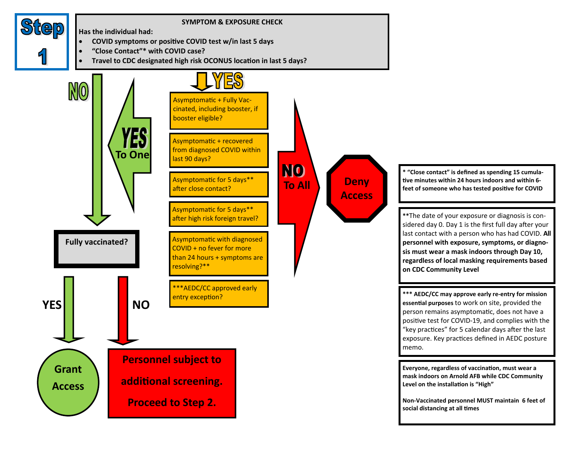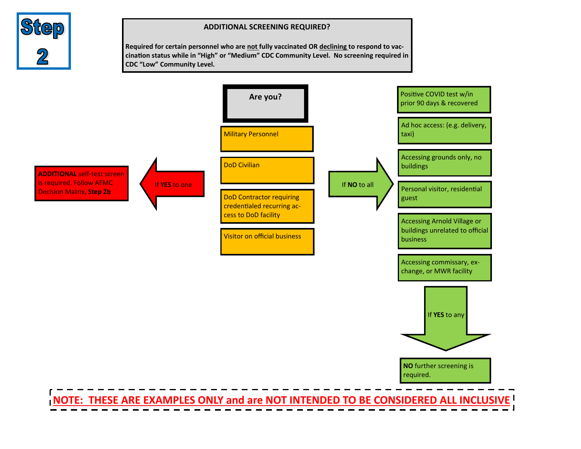